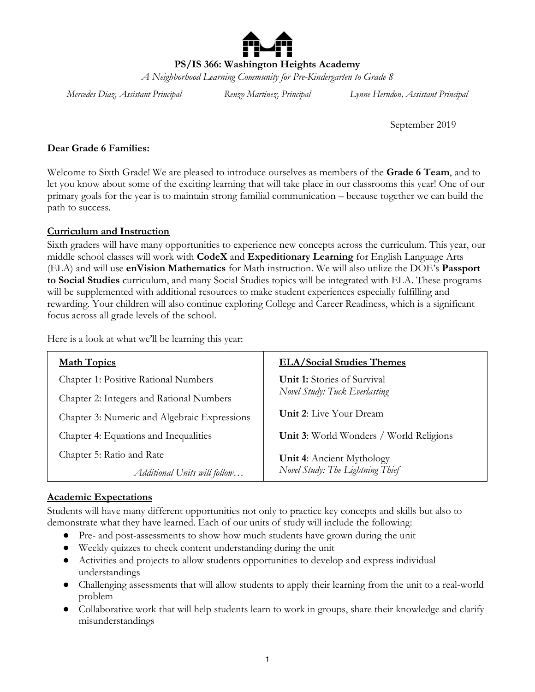

**PS/IS 366: Washington Heights Academy**

*A Neighborhood Learning Community for Pre-Kindergarten to Grade 8*

*Mercedes Diaz, Assistant Principal Renzo Martinez, Principal Lynne Herndon, Assistant Principal*

September 2019

## **Dear Grade 6 Families:**

Welcome to Sixth Grade! We are pleased to introduce ourselves as members of the **Grade 6 Team**, and to let you know about some of the exciting learning that will take place in our classrooms this year! One of our primary goals for the year is to maintain strong familial communication – because together we can build the path to success.

## **Curriculum and Instruction**

Sixth graders will have many opportunities to experience new concepts across the curriculum. This year, our middle school classes will work with **CodeX** and **Expeditionary Learning** for English Language Arts (ELA) and will use **enVision Mathematics** for Math instruction. We will also utilize the DOE's **Passport to Social Studies** curriculum, and many Social Studies topics will be integrated with ELA. These programs will be supplemented with additional resources to make student experiences especially fulfilling and rewarding. Your children will also continue exploring College and Career Readiness, which is a significant focus across all grade levels of the school.

Here is a look at what we'll be learning this year:

| <b>Math Topics</b>                           | <b>ELA/Social Studies Themes</b>                                     |
|----------------------------------------------|----------------------------------------------------------------------|
| <b>Chapter 1: Positive Rational Numbers</b>  | <b>Unit 1:</b> Stories of Survival<br>Novel Study: Tuck Everlasting  |
| Chapter 2: Integers and Rational Numbers     |                                                                      |
| Chapter 3: Numeric and Algebraic Expressions | <b>Unit 2:</b> Live Your Dream                                       |
| Chapter 4: Equations and Inequalities        | Unit 3: World Wonders / World Religions                              |
| Chapter 5: Ratio and Rate                    | <b>Unit 4:</b> Ancient Mythology<br>Novel Study: The Lightning Thief |
| Additional Units will follow                 |                                                                      |

# **Academic Expectations**

Students will have many different opportunities not only to practice key concepts and skills but also to demonstrate what they have learned. Each of our units of study will include the following:

- Pre- and post-assessments to show how much students have grown during the unit
- Weekly quizzes to check content understanding during the unit
- Activities and projects to allow students opportunities to develop and express individual understandings
- Challenging assessments that will allow students to apply their learning from the unit to a real-world problem
- Collaborative work that will help students learn to work in groups, share their knowledge and clarify misunderstandings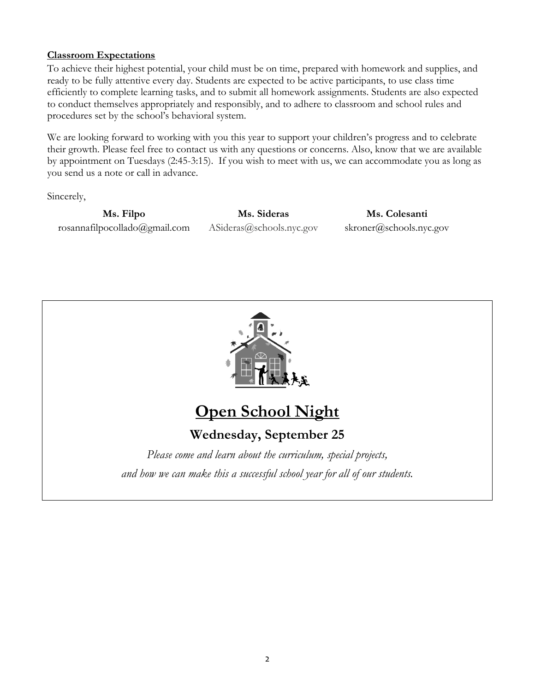## **Classroom Expectations**

To achieve their highest potential, your child must be on time, prepared with homework and supplies, and ready to be fully attentive every day. Students are expected to be active participants, to use class time efficiently to complete learning tasks, and to submit all homework assignments. Students are also expected to conduct themselves appropriately and responsibly, and to adhere to classroom and school rules and procedures set by the school's behavioral system.

We are looking forward to working with you this year to support your children's progress and to celebrate their growth. Please feel free to contact us with any questions or concerns. Also, know that we are available by appointment on Tuesdays (2:45-3:15). If you wish to meet with us, we can accommodate you as long as you send us a note or call in advance.

Sincerely,

**Ms. Filpo** rosannafilpocollado@gmail.com

**Ms. Sideras** ASideras@schools.nyc.gov

**Ms. Colesanti** skroner@schools.nyc.gov



# **Open School Night**

**Wednesday, September 25**

*Please come and learn about the curriculum, special projects, and how we can make this a successful school year for all of our students.*